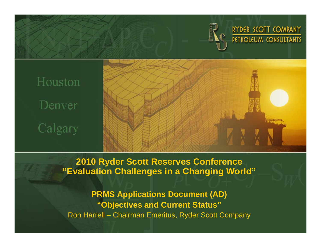

RYDER SCOTT COMPANY PETROLEUM CONSULTANTS

# Houston Denver Calgary



**2010 Ryder Scott Reserves Conference "Evaluation Challenges in a Changing World"**

**PRMS Applications Document (AD) "Objectives and Current Status"** Ron Harrell – Chairman Emeritus, Ryder Scott Company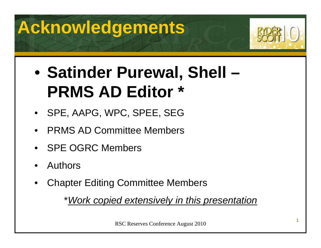## **Acknowledgements**



#### $\bullet$  **Satinder Purewal, Shell – PRMS AD Editor \***

- SPE, AAPG, WPC, SPEE, SEG
- •PRMS AD Committee Members
- •SPE OGRC Members
- •Authors
- •Chapter Editing Committee Members

\**Work copied extensively in this presentation*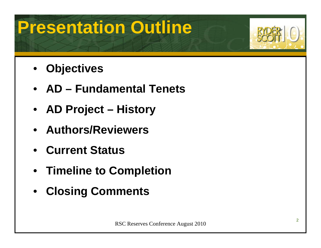## **Presentation Outline**



- •**Objectives**
- **AD – Fundamental Tenets**
- **AD Project – History**
- **Authors/Reviewers**
- **Current Status**
- **Timeline to Completion**
- •**Closing Comments**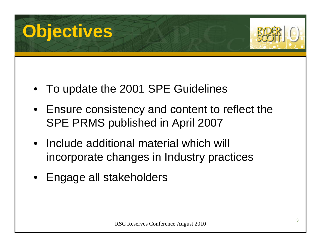



- To update the 2001 SPE Guidelines
- Ensure consistency and content to reflect the SPE PRMS published in April 2007
- • Include additional material which will incorporate changes in Industry practices
- •Engage all stakeholders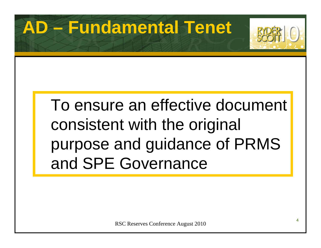### **AD – Fundamental Tenet**



## To ensure an effective document consistent with the original purpose and guidance of PRMS and SPE Governance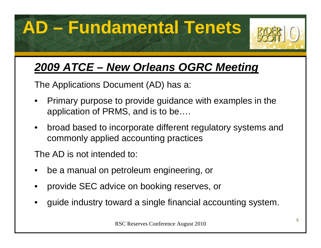**AD – Fundamental Tenets**



### *2009 ATCE – New Orleans OGRC Meeting*

The Applications Document (AD) has a:

- • Primary purpose to provide guidance with examples in the application of PRMS, and is to be….
- $\bullet$  broad based to incorporate different regulatory systems and commonly applied accounting practices

The AD is not intended to:

- •be a manual on petroleum engineering, or
- •provide SEC advice on booking reserves, or
- •guide industry toward a single financial accounting system.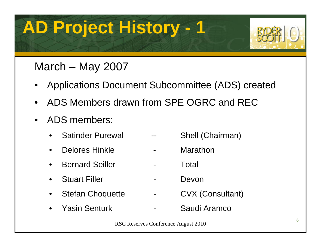

### March – May 2007

- •Applications Document Subcommittee (ADS) created
- •ADS Members drawn from SPE OGRC and REC
- $\bullet$  ADS members:
	- •Satinder Purewal -- Shell (Chairman)
	- •Delores Hinkle **-** Marathon
	- •Bernard Seiller Fotal
	- •Stuart Filler Theory - Devon
	- •Stefan Choquette - CVX (Consultant)
	- • Yasin Senturk- Saudi Aramco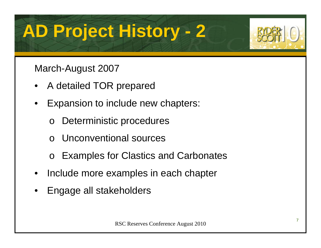

#### March-August 2007

- •A detailed TOR prepared
- • Expansion to include new chapters:
	- oDeterministic procedures
	- oUnconventional sources
	- oExamples for Clastics and Carbonates
- •Include more examples in each chapter
- •Engage all stakeholders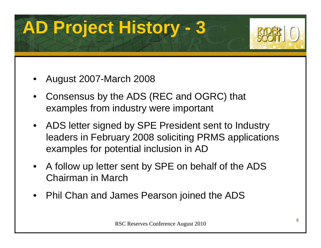

- •August 2007-March 2008
- • Consensus by the ADS (REC and OGRC) that examples from industry were important
- ADS letter signed by SPE President sent to Industry leaders in February 2008 soliciting PRMS applications examples for potential inclusion in AD
- A follow up letter sent by SPE on behalf of the ADS Chairman in March
- •Phil Chan and James Pearson joined the ADS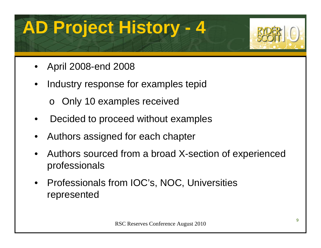

- •April 2008-end 2008
- • Industry response for examples tepid
	- o Only 10 examples received
- •Decided to proceed without examples
- •Authors assigned for each chapter
- • Authors sourced from a broad X-section of experienced professionals
- $\bullet$  Professionals from IOC's, NOC, Universities represented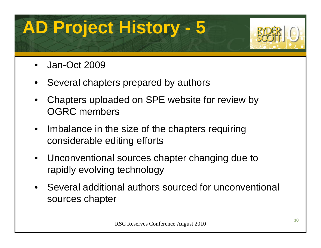

- •Jan-Oct 2009
- •Several chapters prepared by authors
- • Chapters uploaded on SPE website for review by OGRC members
- • Imbalance in the size of the chapters requiring considerable editing efforts
- $\bullet$  Unconventional sources chapter changing due to rapidly evolving technology
- Several additional authors sourced for unconventional sources chapter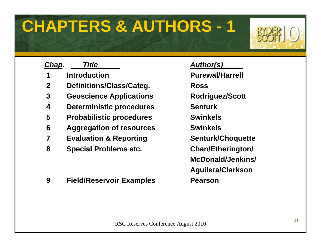### **CHAPTERS & AUTHORS - 1**



| Chap. | <b>Title</b>                      | <b>Author(s)</b>  |
|-------|-----------------------------------|-------------------|
| 1     | <b>Introduction</b>               | <b>Purewal/H</b>  |
| 2     | Definitions/Class/Categ.          | <b>Ross</b>       |
| 3     | <b>Geoscience Applications</b>    | Rodriguez         |
| 4     | <b>Deterministic procedures</b>   | <b>Senturk</b>    |
| 5     | <b>Probabilistic procedures</b>   | <b>Swinkels</b>   |
| 6     | <b>Aggregation of resources</b>   | <b>Swinkels</b>   |
|       | <b>Evaluation &amp; Reporting</b> | Senturk/C         |
| 8     | <b>Special Problems etc.</b>      | <b>Chan/Ethe</b>  |
|       |                                   | <b>McDonald</b>   |
|       |                                   | <b>Aguilera/C</b> |

**9 Field/Reservoir Examples Pearson** 

**ewal/Harrell 3** Applications Rodriguez/Scott **furk/Choquette 8 A Problems R McDonald/Jenkins/ Aguilera/Clarkson**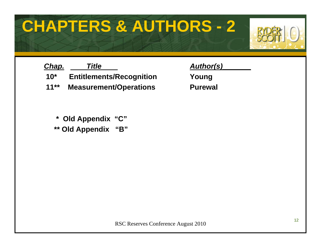### **CHAPTERS & AUTHORS - 2**



| Chap.   | <b>Title</b>                    | <b>Author(s)</b> |
|---------|---------------------------------|------------------|
| $10^*$  | <b>Entitlements/Recognition</b> | Young            |
| $11***$ | <b>Measurement/Operations</b>   | <b>Purewal</b>   |

**\* Old Appendix "C"**

**\*\* Old Appendix "B"**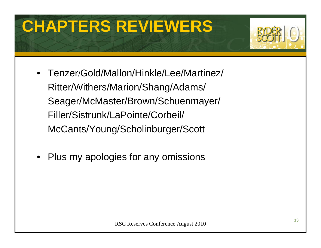## **CHAPTERS REVIEWERS**



- Tenzer/Gold/Mallon/Hinkle/Lee/Martinez/ Ritter/Withers/Marion/Shang/Adams/ Seager/McMaster/Brown/Schuenmayer/ Filler/Sistrunk/LaPointe/Corbeil/ McCants/Young/Scholinburger/Scott
- $\bullet$ Plus my apologies for any omissions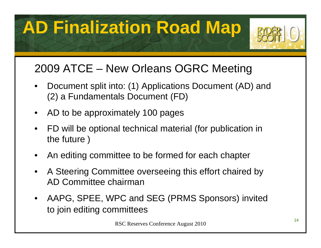## **AD Finalization Road Map**



### 2009 ATCE – New Orleans OGRC Meeting

- • Document split into: (1) Applications Document (AD) and (2) a Fundamentals Document (FD)
- •AD to be approximately 100 pages
- • FD will be optional technical material (for publication in the future )
- •An editing committee to be formed for each chapter
- • A Steering Committee overseeing this effort chaired by AD Committee chairman
- • AAPG, SPEE, WPC and SEG (PRMS Sponsors) invited to join editing committees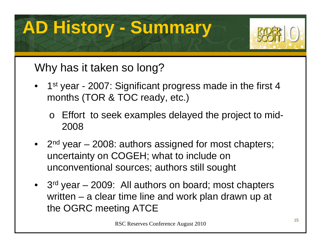## **AD History - Summary**



### Why has it taken so long?

- •1<sup>st</sup> year - 2007: Significant progress made in the first 4 months (TOR & TOC ready, etc.)
	- o Effort to seek examples delayed the project to mid-2008
- • $2<sup>nd</sup>$  year – 2008: authors assigned for most chapters; uncertainty on COGEH; what to include on unconventional sources; authors still sought
- •3<sup>rd</sup> year – 2009: All authors on board; most chapters written – a clear time line and work plan drawn up at the OGRC meeting ATCE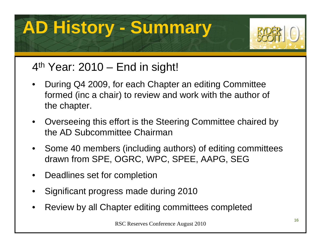## **AD History - Summary**



#### $4<sup>th</sup>$  Year: 2010 – End in sight!

- • During Q4 2009, for each Chapter an editing Committee formed (inc a chair) to review and work with the author of the chapter.
- • Overseeing this effort is the Steering Committee chaired by the AD Subcommittee Chairman
- Some 40 members (including authors) of editing committees drawn from SPE, OGRC, WPC, SPEE, AAPG, SEG
- $\bullet$ Deadlines set for completion
- •Significant progress made during 2010
- •Review by all Chapter editing committees completed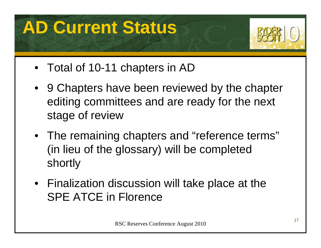## **AD Current Status**



- Total of 10-11 chapters in AD
- 9 Chapters have been reviewed by the chapter editing committees and are ready for the next stage of review
- The remaining chapters and "reference terms" (in lieu of the glossary) will be completed shortly
- Finalization discussion will take place at the SPE ATCE in Florence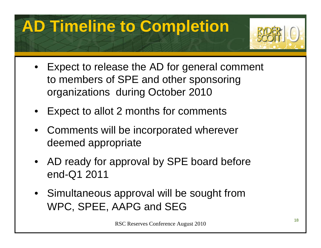## **AD Timeline to Completion**



- Expect to release the AD for general comment to members of SPE and other sponsoring organizations during October 2010
- •Expect to allot 2 months for comments
- Comments will be incorporated wherever deemed appropriate
- AD ready for approval by SPE board before end-Q1 2011
- Simultaneous approval will be sought from WPC, SPEE, AAPG and SEG